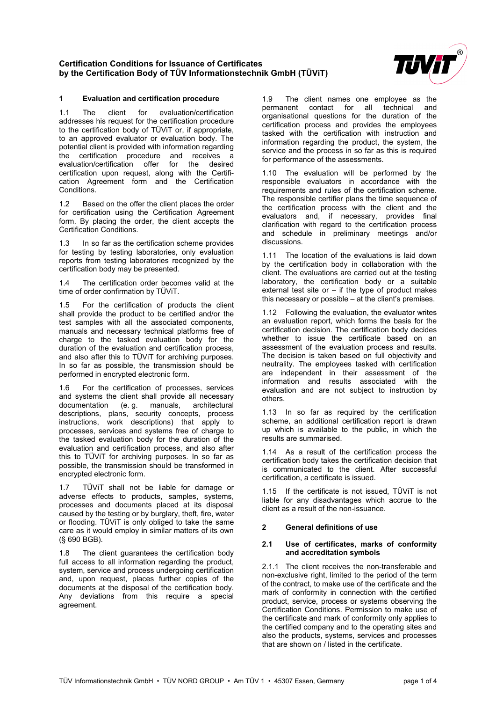

### **1 Evaluation and certification procedure**

1.1 The client for evaluation/certification addresses his request for the certification procedure to the certification body of TÜViT or, if appropriate, to an approved evaluator or evaluation body. The potential client is provided with information regarding the certification procedure and receives a<br>evaluation/certification offer for the desired evaluation/certification offer certification upon request, along with the Certification Agreement form and the Certification Conditions.

1.2 Based on the offer the client places the order for certification using the Certification Agreement form. By placing the order, the client accepts the Certification Conditions.

1.3 In so far as the certification scheme provides for testing by testing laboratories, only evaluation reports from testing laboratories recognized by the certification body may be presented.

1.4 The certification order becomes valid at the time of order confirmation by TÜViT.

1.5 For the certification of products the client shall provide the product to be certified and/or the test samples with all the associated components, manuals and necessary technical platforms free of charge to the tasked evaluation body for the duration of the evaluation and certification process, and also after this to TÜViT for archiving purposes. In so far as possible, the transmission should be performed in encrypted electronic form.

1.6 For the certification of processes, services and systems the client shall provide all necessary<br>documentation (e. q. manuals, architectural documentation (e. g. descriptions, plans, security concepts, process instructions, work descriptions) that apply to processes, services and systems free of charge to the tasked evaluation body for the duration of the evaluation and certification process, and also after this to TÜViT for archiving purposes. In so far as possible, the transmission should be transformed in encrypted electronic form.

1.7 TÜViT shall not be liable for damage or adverse effects to products, samples, systems, processes and documents placed at its disposal caused by the testing or by burglary, theft, fire, water or flooding. TÜViT is only obliged to take the same care as it would employ in similar matters of its own (§ 690 BGB).

1.8 The client guarantees the certification body full access to all information regarding the product, system, service and process undergoing certification and, upon request, places further copies of the documents at the disposal of the certification body. Any deviations from this require a special agreement.

1.9 The client names one employee as the permanent contact for all technical and organisational questions for the duration of the certification process and provides the employees tasked with the certification with instruction and information regarding the product, the system, the service and the process in so far as this is required for performance of the assessments.

1.10 The evaluation will be performed by the responsible evaluators in accordance with the requirements and rules of the certification scheme. The responsible certifier plans the time sequence of the certification process with the client and the evaluators and, if necessary, provides final clarification with regard to the certification process and schedule in preliminary meetings and/or discussions.

1.11 The location of the evaluations is laid down by the certification body in collaboration with the client. The evaluations are carried out at the testing laboratory, the certification body or a suitable external test site or  $-$  if the type of product makes this necessary or possible – at the client's premises.

1.12 Following the evaluation, the evaluator writes an evaluation report, which forms the basis for the certification decision. The certification body decides whether to issue the certificate based on an assessment of the evaluation process and results. The decision is taken based on full objectivity and neutrality. The employees tasked with certification are independent in their assessment of the information and results associated with the evaluation and are not subject to instruction by others.

1.13 In so far as required by the certification scheme, an additional certification report is drawn up which is available to the public, in which the results are summarised.

1.14 As a result of the certification process the certification body takes the certification decision that is communicated to the client. After successful certification, a certificate is issued.

1.15 If the certificate is not issued, TÜViT is not liable for any disadvantages which accrue to the client as a result of the non-issuance.

#### **2 General definitions of use**

#### **2.1 Use of certificates, marks of conformity and accreditation symbols**

2.1.1 The client receives the non-transferable and non-exclusive right, limited to the period of the term of the contract, to make use of the certificate and the mark of conformity in connection with the certified product, service, process or systems observing the Certification Conditions. Permission to make use of the certificate and mark of conformity only applies to the certified company and to the operating sites and also the products, systems, services and processes that are shown on / listed in the certificate.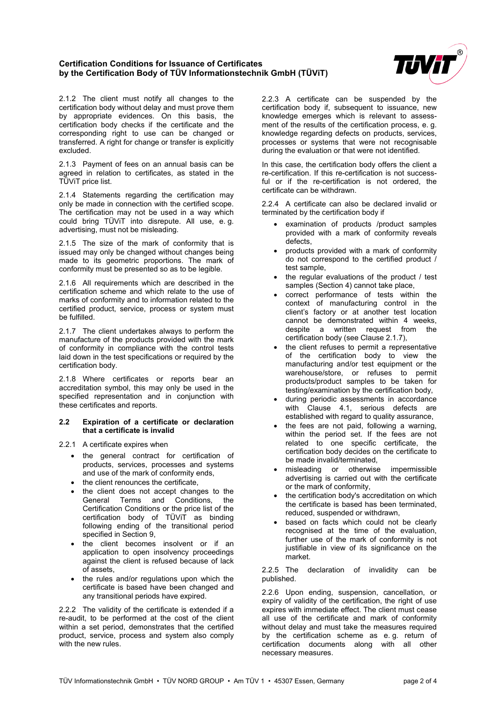

2.1.2 The client must notify all changes to the certification body without delay and must prove them by appropriate evidences. On this basis, the certification body checks if the certificate and the corresponding right to use can be changed or transferred. A right for change or transfer is explicitly excluded.

2.1.3 Payment of fees on an annual basis can be agreed in relation to certificates, as stated in the TÜViT price list.

2.1.4 Statements regarding the certification may only be made in connection with the certified scope. The certification may not be used in a way which could bring TÜViT into disrepute. All use, e. g. advertising, must not be misleading.

2.1.5 The size of the mark of conformity that is issued may only be changed without changes being made to its geometric proportions. The mark of conformity must be presented so as to be legible.

2.1.6 All requirements which are described in the certification scheme and which relate to the use of marks of conformity and to information related to the certified product, service, process or system must be fulfilled.

2.1.7 The client undertakes always to perform the manufacture of the products provided with the mark of conformity in compliance with the control tests laid down in the test specifications or required by the certification body.

2.1.8 Where certificates or reports bear an accreditation symbol, this may only be used in the specified representation and in conjunction with these certificates and reports.

#### **2.2 Expiration of a certificate or declaration that a certificate is invalid**

- 2.2.1 A certificate expires when
	- the general contract for certification of products, services, processes and systems and use of the mark of conformity ends,
	- the client renounces the certificate.
	- the client does not accept changes to the General Terms and Conditions, the Certification Conditions or the price list of the certification body of TÜViT as binding following ending of the transitional period specified in Section 9,
	- the client becomes insolvent or if an application to open insolvency proceedings against the client is refused because of lack of assets,
	- the rules and/or regulations upon which the certificate is based have been changed and any transitional periods have expired.

2.2.2 The validity of the certificate is extended if a re-audit, to be performed at the cost of the client within a set period, demonstrates that the certified product, service, process and system also comply with the new rules.

2.2.3 A certificate can be suspended by the certification body if, subsequent to issuance, new knowledge emerges which is relevant to assessment of the results of the certification process, e. g. knowledge regarding defects on products, services, processes or systems that were not recognisable during the evaluation or that were not identified.

In this case, the certification body offers the client a re-certification. If this re-certification is not successful or if the re-certification is not ordered, the certificate can be withdrawn.

2.2.4 A certificate can also be declared invalid or terminated by the certification body if

- examination of products /product samples provided with a mark of conformity reveals defects,
- products provided with a mark of conformity do not correspond to the certified product / test sample,
- the regular evaluations of the product / test samples (Section 4) cannot take place,
- correct performance of tests within the context of manufacturing control in the client's factory or at another test location cannot be demonstrated within 4 weeks, despite a written request from the certification body (see Clause 2.1.7),
- the client refuses to permit a representative of the certification body to view the manufacturing and/or test equipment or the warehouse/store, or refuses to permit products/product samples to be taken for testing/examination by the certification body,
- during periodic assessments in accordance with Clause 4.1, serious defects are established with regard to quality assurance,
- the fees are not paid, following a warning, within the period set. If the fees are not related to one specific certificate, the certification body decides on the certificate to be made invalid/terminated,
- misleading or otherwise impermissible advertising is carried out with the certificate or the mark of conformity,
- the certification body's accreditation on which the certificate is based has been terminated, reduced, suspended or withdrawn,
- based on facts which could not be clearly recognised at the time of the evaluation, further use of the mark of conformity is not justifiable in view of its significance on the market.

2.2.5 The declaration of invalidity can be published.

2.2.6 Upon ending, suspension, cancellation, or expiry of validity of the certification, the right of use expires with immediate effect. The client must cease all use of the certificate and mark of conformity without delay and must take the measures required by the certification scheme as e. g. return of certification documents along with all other necessary measures.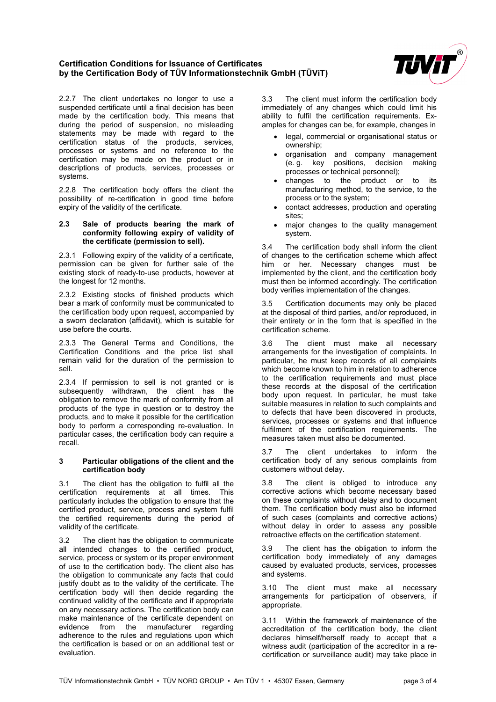

2.2.7 The client undertakes no longer to use a suspended certificate until a final decision has been made by the certification body. This means that during the period of suspension, no misleading statements may be made with regard to the certification status of the products, services, processes or systems and no reference to the certification may be made on the product or in descriptions of products, services, processes or systems.

2.2.8 The certification body offers the client the possibility of re-certification in good time before expiry of the validity of the certificate.

#### **2.3 Sale of products bearing the mark of conformity following expiry of validity of the certificate (permission to sell).**

2.3.1 Following expiry of the validity of a certificate, permission can be given for further sale of the existing stock of ready-to-use products, however at the longest for 12 months.

2.3.2 Existing stocks of finished products which bear a mark of conformity must be communicated to the certification body upon request, accompanied by a sworn declaration (affidavit), which is suitable for use before the courts.

2.3.3 The General Terms and Conditions, the Certification Conditions and the price list shall remain valid for the duration of the permission to sell.

2.3.4 If permission to sell is not granted or is subsequently withdrawn, the client has the obligation to remove the mark of conformity from all products of the type in question or to destroy the products, and to make it possible for the certification body to perform a corresponding re-evaluation. In particular cases, the certification body can require a recall.

#### **3 Particular obligations of the client and the certification body**

3.1 The client has the obligation to fulfil all the certification requirements at all times. This particularly includes the obligation to ensure that the certified product, service, process and system fulfil the certified requirements during the period of validity of the certificate.

3.2 The client has the obligation to communicate all intended changes to the certified product, service, process or system or its proper environment of use to the certification body. The client also has the obligation to communicate any facts that could justify doubt as to the validity of the certificate. The certification body will then decide regarding the continued validity of the certificate and if appropriate on any necessary actions. The certification body can make maintenance of the certificate dependent on evidence from the manufacturer regarding adherence to the rules and regulations upon which the certification is based or on an additional test or evaluation.

3.3 The client must inform the certification body immediately of any changes which could limit his ability to fulfil the certification requirements. Examples for changes can be, for example, changes in

- legal, commercial or organisational status or ownership;
- organisation and company management (e. g. key positions, decision making processes or technical personnel);
- changes to the product or to its manufacturing method, to the service, to the process or to the system;
- contact addresses, production and operating sites;
- major changes to the quality management system.

3.4 The certification body shall inform the client of changes to the certification scheme which affect him or her. Necessary changes must be implemented by the client, and the certification body must then be informed accordingly. The certification body verifies implementation of the changes.

3.5 Certification documents may only be placed at the disposal of third parties, and/or reproduced, in their entirety or in the form that is specified in the certification scheme.

3.6 The client must make all necessary arrangements for the investigation of complaints. In particular, he must keep records of all complaints which become known to him in relation to adherence to the certification requirements and must place these records at the disposal of the certification body upon request. In particular, he must take suitable measures in relation to such complaints and to defects that have been discovered in products, services, processes or systems and that influence fulfilment of the certification requirements. The measures taken must also be documented.

3.7 The client undertakes to inform the certification body of any serious complaints from customers without delay.

3.8 The client is obliged to introduce any corrective actions which become necessary based on these complaints without delay and to document them. The certification body must also be informed of such cases (complaints and corrective actions) without delay in order to assess any possible retroactive effects on the certification statement.

3.9 The client has the obligation to inform the certification body immediately of any damages caused by evaluated products, services, processes and systems.

3.10 The client must make all necessary arrangements for participation of observers, if appropriate.

3.11 Within the framework of maintenance of the accreditation of the certification body, the client declares himself/herself ready to accept that a witness audit (participation of the accreditor in a recertification or surveillance audit) may take place in